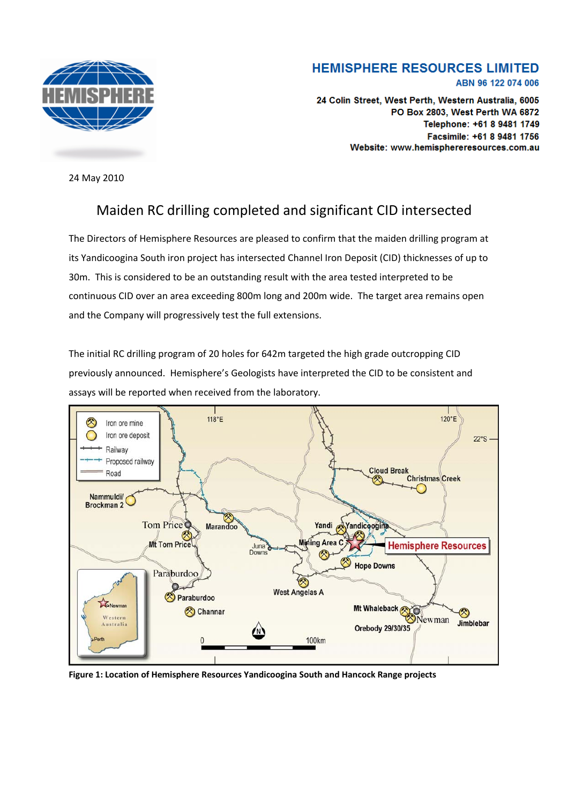

## **HEMISPHERE RESOURCES LIMITED** ABN 96 122 074 006

24 Colin Street, West Perth, Western Australia, 6005 PO Box 2803. West Perth WA 6872 Telephone: +61 8 9481 1749 Facsimile: +61 8 9481 1756 Website: www.hemisphereresources.com.au

24 May 2010

## Maiden RC drilling completed and significant CID intersected

The Directors of Hemisphere Resources are pleased to confirm that the maiden drilling program at its Yandicoogina South iron project has intersected Channel Iron Deposit (CID) thicknesses of up to 30m. This is considered to be an outstanding result with the area tested interpreted to be continuous CID over an area exceeding 800m long and 200m wide. The target area remains open and the Company will progressively test the full extensions.

The initial RC drilling program of 20 holes for 642m targeted the high grade outcropping CID previously announced. Hemisphere's Geologists have interpreted the CID to be consistent and assays will be reported when received from the laboratory.



**Figure 1: Location of Hemisphere Resources Yandicoogina South and Hancock Range projects**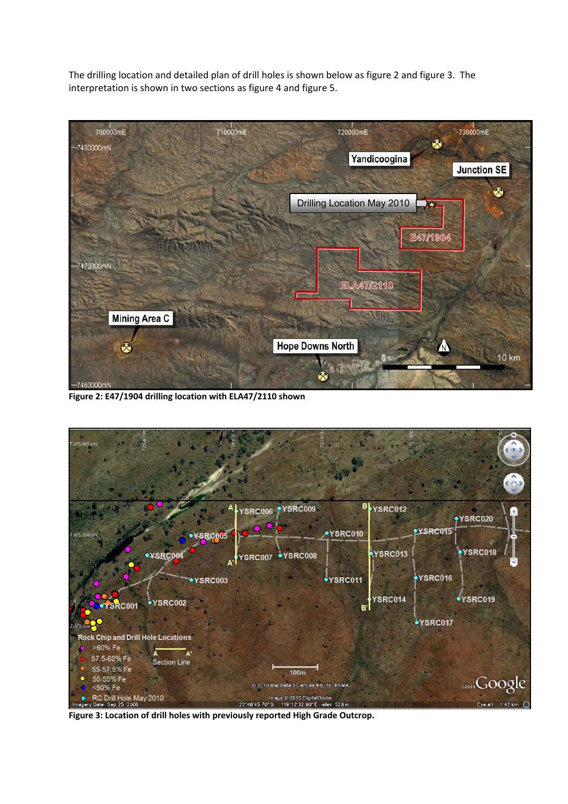The drilling location and detailed plan of drill holes is shown below as figure 2 and figure 3. The interpretation is shown in two sections as figure 4 and figure 5.



**Figure 2: E47/1904 drilling location with ELA47/2110 shown** 



**Figure 3: Location of drill holes with previously reported High Grade Outcrop.**